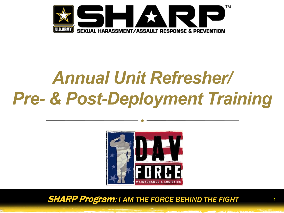

# *Annual Unit Refresher/ Pre- & Post-Deployment Training*



**SHARP Program: I AM THE FORCE BEHIND THE FIGHT** 

1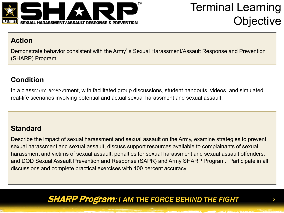

### Terminal Learning **Objective**

#### **Action**

Demonstrate behavior consistent with the Army's Sexual Harassment/Assault Response and Prevention (SHARP) Program

#### **Condition**

In a classroom environment, with facilitated group discussions, student handouts, videos, and simulated real-life scenarios involving potential and actual sexual harassment and sexual assault.

#### **Standard**

Describe the impact of sexual harassment and sexual assault on the Army, examine strategies to prevent sexual harassment and sexual assault, discuss support resources available to complainants of sexual harassment and victims of sexual assault, penalties for sexual harassment and sexual assault offenders, and DOD Sexual Assault Prevention and Response (SAPR) and Army SHARP Program. Participate in all discussions and complete practical exercises with 100 percent accuracy.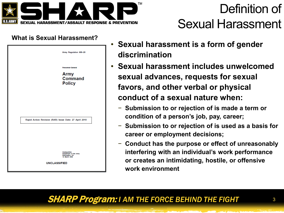

## Definition of Sexual Harassment

#### **What is Sexual Harassment?**

| Army Regulation 600-20                                                                                  |  |  |
|---------------------------------------------------------------------------------------------------------|--|--|
| Personnel-General<br><b>Army</b><br>Command<br><b>Policy</b>                                            |  |  |
| Rapid Action Revision (RAR) Issue Date: 27 April 2010                                                   |  |  |
|                                                                                                         |  |  |
| Headquarters<br>Department of the Army<br><b>Washington, DC</b><br>18 March 2008<br><b>UNCLASSIFIED</b> |  |  |

- **Sexual harassment is a form of gender discrimination**
- **Sexual harassment includes unwelcomed sexual advances, requests for sexual favors, and other verbal or physical conduct of a sexual nature when:**
	- − **Submission to or rejection of is made a term or condition of a person's job, pay, career;**
	- − **Submission to or rejection of is used as a basis for career or employment decisions;**
	- − **Conduct has the purpose or effect of unreasonably interfering with an individual's work performance or creates an intimidating, hostile, or offensive work environment**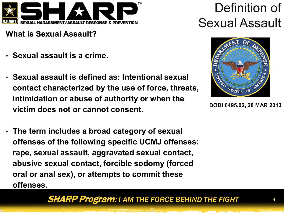

**What is Sexual Assault?**

- **Sexual assault is a crime.**
- **Sexual assault is defined as: Intentional sexual contact characterized by the use of force, threats, intimidation or abuse of authority or when the victim does not or cannot consent.**
- **The term includes a broad category of sexual offenses of the following specific UCMJ offenses: rape, sexual assault, aggravated sexual contact, abusive sexual contact, forcible sodomy (forced oral or anal sex), or attempts to commit these offenses.**

## Definition of Sexual Assault



**DODI 6495.02, 28 MAR 2013**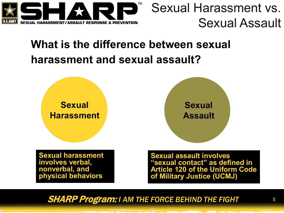

### Sexual Harassment vs. Sexual Assault

### **What is the difference between sexual harassment and sexual assault?**

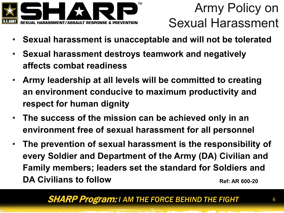

- **Sexual harassment is unacceptable and will not be tolerated**
- **Sexual harassment destroys teamwork and negatively affects combat readiness**
- **Army leadership at all levels will be committed to creating an environment conducive to maximum productivity and respect for human dignity**
- **The success of the mission can be achieved only in an environment free of sexual harassment for all personnel**
- **The prevention of sexual harassment is the responsibility of every Soldier and Department of the Army (DA) Civilian and Family members; leaders set the standard for Soldiers and DA Civilians to follow** Ref: AR 600-20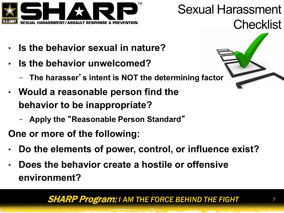

### Sexual Harassment Checklist

- **Is the behavior sexual in nature?**
- **Is the behavior unwelcomed?**
	- − **The harasser**'**s intent is NOT the determining factor**
- **Would a reasonable person find the behavior to be inappropriate?**
	- − **Apply the** "**Reasonable Person Standard**"
- **One or more of the following:**
- **Do the elements of power, control, or influence exist?**
- **Does the behavior create a hostile or offensive environment?**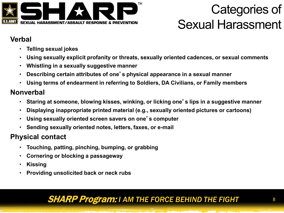

### Categories of Sexual Harassment

#### **Verbal**

- **Telling sexual jokes**
- **Using sexually explicit profanity or threats, sexually oriented cadences, or sexual comments**
- **Whistling in a sexually suggestive manner**
- **Describing certain attributes of one**'**s physical appearance in a sexual manner**
- **Using terms of endearment in referring to Soldiers, DA Civilians, or Family members**

#### **Nonverbal**

- **Staring at someone, blowing kisses, winking, or licking one**'**s lips in a suggestive manner**
- **Displaying inappropriate printed material (e.g., sexually oriented pictures or cartoons)**
- **Using sexually oriented screen savers on one**'**s computer**
- **Sending sexually oriented notes, letters, faxes, or e-mail**

#### **Physical contact**

- **Touching, patting, pinching, bumping, or grabbing**
- **Cornering or blocking a passageway**
- **Kissing**
- **Providing unsolicited back or neck rubs**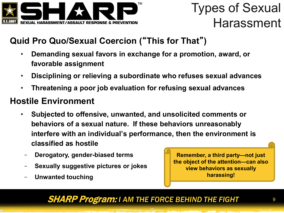

### Types of Sexual Harassment

#### **Quid Pro Quo/Sexual Coercion (**"**This for That**"**)**

- **Demanding sexual favors in exchange for a promotion, award, or favorable assignment**
- **Disciplining or relieving a subordinate who refuses sexual advances**
- **Threatening a poor job evaluation for refusing sexual advances**

#### **Hostile Environment**

- **Subjected to offensive, unwanted, and unsolicited comments or behaviors of a sexual nature. If these behaviors unreasonably interfere with an individual's performance, then the environment is classified as hostile**
	- − **Derogatory, gender-biased terms**
- − **Sexually suggestive pictures or jokes**
- − **Unwanted touching**

**Remember, a third party—not just the object of the attention—can also view behaviors as sexually harassing!**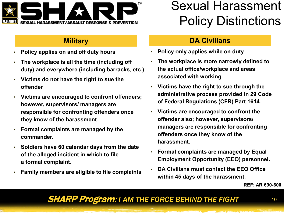

- **Policy applies on and off duty hours**
- **The workplace is all the time (including off duty) and everywhere (including barracks, etc.)**
- **Victims do not have the right to sue the offender**
- **Victims are encouraged to confront offenders; however, supervisors/ managers are responsible for confronting offenders once they know of the harassment.**
- **Formal complaints are managed by the commander.**
- **Soldiers have 60 calendar days from the date of the alleged incident in which to file a formal complaint.**
- **Family members are eligible to file complaints**

### Sexual Harassment Policy Distinctions

#### **Military DA Civilians**

- **Policy only applies while on duty.**
- **The workplace is more narrowly defined to the actual office/workplace and areas associated with working.**
- **Victims have the right to sue through the administrative process provided in 29 Code of Federal Regulations (CFR) Part 1614.**
- **Victims are encouraged to confront the offender also; however, supervisors/ managers are responsible for confronting offenders once they know of the harassment.**
- **Formal complaints are managed by Equal Employment Opportunity (EEO) personnel.**
- **DA Civilians must contact the EEO Office within 45 days of the harassment.**

**REF: AR 690-600**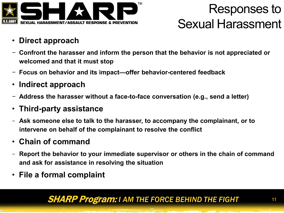

### Responses to Sexual Harassment

- **Direct approach**
- − **Confront the harasser and inform the person that the behavior is not appreciated or welcomed and that it must stop**
- − **Focus on behavior and its impact—offer behavior-centered feedback**
- **Indirect approach**
- − **Address the harasser without a face-to-face conversation (e.g., send a letter)**
- **Third-party assistance**
- − **Ask someone else to talk to the harasser, to accompany the complainant, or to intervene on behalf of the complainant to resolve the conflict**
- **Chain of command**
- **Report the behavior to your immediate supervisor or others in the chain of command and ask for assistance in resolving the situation**
- **File a formal complaint**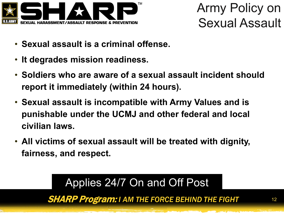

Army Policy on Sexual Assault

- **Sexual assault is a criminal offense.**
- **It degrades mission readiness.**
- **Soldiers who are aware of a sexual assault incident should report it immediately (within 24 hours).**
- **Sexual assault is incompatible with Army Values and is punishable under the UCMJ and other federal and local civilian laws.**
- **All victims of sexual assault will be treated with dignity, fairness, and respect.**

SHARP Program: *I AM THE FORCE BEHIND THE FIGHT* <sup>12</sup> Applies 24/7 On and Off Post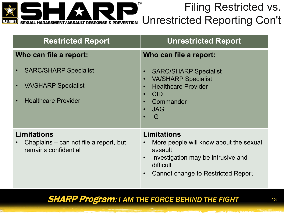

### Filing Restricted vs. Unrestricted Reporting Con't

| <b>Restricted Report</b>                                                                 | <b>Unrestricted Report</b>                                                                                                                                                                                                         |
|------------------------------------------------------------------------------------------|------------------------------------------------------------------------------------------------------------------------------------------------------------------------------------------------------------------------------------|
| Who can file a report:                                                                   | Who can file a report:                                                                                                                                                                                                             |
| <b>SARC/SHARP Specialist</b><br><b>VA/SHARP Specialist</b><br><b>Healthcare Provider</b> | <b>SARC/SHARP Specialist</b><br>$\bullet$<br><b>VA/SHARP Specialist</b><br>$\bullet$<br><b>Healthcare Provider</b><br>$\bullet$<br><b>CID</b><br>$\bullet$<br>Commander<br>$\bullet$<br><b>JAG</b><br>$\bullet$<br>IG<br>$\bullet$ |
| <b>Limitations</b><br>Chaplains – can not file a report, but<br>remains confidential     | Limitations<br>More people will know about the sexual<br>$\bullet$<br>assault<br>Investigation may be intrusive and<br>$\bullet$<br>difficult<br>Cannot change to Restricted Report<br>$\bullet$                                   |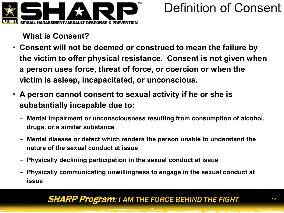

### Definition of Consent

**What is Consent?**

- **Consent will not be deemed or construed to mean the failure by the victim to offer physical resistance. Consent is not given when a person uses force, threat of force, or coercion or when the victim is asleep, incapacitated, or unconscious.**
- **A person cannot consent to sexual activity if he or she is substantially incapable due to:**
	- **Mental impairment or unconsciousness resulting from consumption of alcohol, drugs, or a similar substance**
	- **Mental disease or defect which renders the person unable to understand the nature of the sexual conduct at issue**
	- **Physically declining participation in the sexual conduct at issue**
	- **Physically communicating unwillingness to engage in the sexual conduct at issue**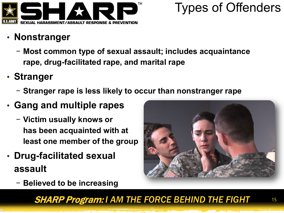

### Types of Offenders

- **Nonstranger**
	- − **Most common type of sexual assault; includes acquaintance rape, drug-facilitated rape, and marital rape**
- **Stranger**
	- − **Stranger rape is less likely to occur than nonstranger rape**
- **Gang and multiple rapes**
	- − **Victim usually knows or has been acquainted with at least one member of the group**
- **Drug-facilitated sexual assault**
	- − **Believed to be increasing**

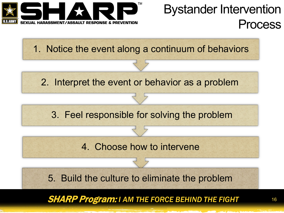

### Bystander Intervention Process

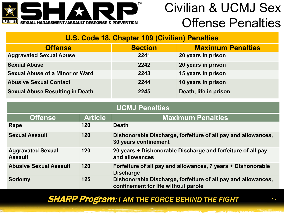

### Civilian & UCMJ Sex Offense Penalties

#### **U.S. Code 18, Chapter 109 (Civilian) Penalties**

| <b>Offense</b>                         | <b>Section</b> | <b>Maximum Penalties</b> |
|----------------------------------------|----------------|--------------------------|
| <b>Aggravated Sexual Abuse</b>         | 2241           | 20 years in prison       |
| <b>Sexual Abuse</b>                    | 2242           | 20 years in prison       |
| <b>Sexual Abuse of a Minor or Ward</b> | 2243           | 15 years in prison       |
| <b>Abusive Sexual Contact</b>          | 2244           | 10 years in prison       |
| <b>Sexual Abuse Resulting in Death</b> | 2245           | Death, life in prison    |

| <b>UCMJ Penalties</b>                      |                |                                                                                                      |  |  |
|--------------------------------------------|----------------|------------------------------------------------------------------------------------------------------|--|--|
| <b>Offense</b>                             | <b>Article</b> | <b>Maximum Penalties</b>                                                                             |  |  |
| Rape                                       | 120            | <b>Death</b>                                                                                         |  |  |
| <b>Sexual Assault</b>                      | 120            | Dishonorable Discharge, forfeiture of all pay and allowances,<br>30 years confinement                |  |  |
| <b>Aggravated Sexual</b><br><b>Assault</b> | 120            | 20 years + Dishonorable Discharge and forfeiture of all pay<br>and allowances                        |  |  |
| <b>Abusive Sexual Assault</b>              | 120            | Forfeiture of all pay and allowances, 7 years + Dishonorable<br><b>Discharge</b>                     |  |  |
| Sodomy                                     | 125            | Dishonorable Discharge, forfeiture of all pay and allowances,<br>confinement for life without parole |  |  |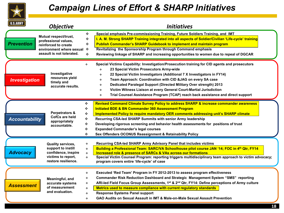

### *Campaign Lines of Effort & SHARP Initiatives*

#### **Prevention** *Prevention* **Special emphasis Pre-commissioning Training, Future Soldiers Training, and IMT I. A. M. Strong SHARP Training integrated into all aspects of Soldier/Civilian 'Life-cycle' training Publish Commander's SHARP Guidebook to implement and maintain program Revitalizing the Sponsorship Program through Command emphasis Reviewing linkage of SHARP and increasing opportunities to women due to repeal of DGCAR Special Victims Capability: Investigation/Prosecution training for CID agents and prosecutors 23 Special Victim Prosecutors Army-wide 22 Special Victim Investigators (Additional 7 X Investigators in FY14) Team Approach: Coordination with CID &JAG on every SA case Dedicated Paralegal Support (Directed Military Over strength) 2013 Victim Witness Liaison at every General Court-Martial Jurisdiction Trial Counsel Assistance Program (TCAP) reach back assistance and direct support Investigation** *Investigation* **Accountability** *Accountability* **Recurring CSA-led SHARP Army Advisory Panel that includes victims Building a Professional Team: SARC/VA Schoolhouse pilot course JAN '14; FOC in 4th Qtr, FY14 Increased role & presence of SARCs & VAs across our formations Special Victim Counsel Program: reporting triggers multidisciplinary team approach to victim advocacy; program covers entire 'life-cycle' of case Advocacy** *Advocacy* **Assessment** *Assessment* **Revised Command Climate Survey Policy to address SHARP & increase commander awareness Initiated BDE & BN Commander 360 Assessment Program Implemented Policy to require mandatory OER comments addressing unit's SHARP climate Recurring CSA-led SHARP Summits with senior Army leadership Developing rigorous screening and behavior health assessments for positions of trust Expanded Commander's legal courses Sex Offenders OCONUS Reassignment & Retainability Policy Executed 'Red Team' Program in FY 2012-2013 to assess program effectiveness Commander Risk Reduction Dashboard and Strategic Management System "SMS" reporting ARI-led Field Focus Group Assessments, 1st & 2nd Qtr, FY14: Define perceptions of Army culture Metrics used to measure compliance with current regulatory standards Response Systems Panel support GAO Audits on Sexual Assault in IMT & Male-on-Male Sexual Assault Prevention** *Objective Initiatives* **Mutual respect/trust, professional values, reinforced to create environment where sexual assault is not tolerated. Investigative resources yield timely and accurate results. Perpetrators & CofCs are held appropriately accountable. Quality services, support to instill confidence, inspire victims to report, restore resilience. Meaningful, and accurate systems of measurement and evaluation.**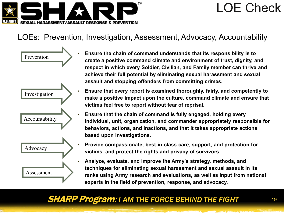

### LOE Check

#### LOEs: Prevention, Investigation, Assessment, Advocacy, Accountability



- **Ensure the chain of command understands that its responsibility is to create a positive command climate and environment of trust, dignity, and respect in which every Soldier, Civilian, and Family member can thrive and achieve their full potential by eliminating sexual harassment and sexual assault and stopping offenders from committing crimes.**
- **Ensure that every report is examined thoroughly, fairly, and competently to make a positive impact upon the culture, command climate and ensure that victims feel free to report without fear of reprisal.**
- **Ensure that the chain of command is fully engaged, holding every individual, unit, organization, and commander appropriately responsible for behaviors, actions, and inactions, and that it takes appropriate actions based upon investigations.**
- **Provide compassionate, best-in-class care, support, and protection for victims, and protect the rights and privacy of survivors.**
- **Analyze, evaluate, and improve the Army's strategy, methods, and techniques for eliminating sexual harassment and sexual assault in its ranks using Army research and evaluations, as well as input from national experts in the field of prevention, response, and advocacy.**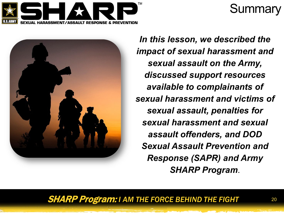

### **Summary**



*In this lesson, we described the impact of sexual harassment and sexual assault on the Army, discussed support resources available to complainants of sexual harassment and victims of sexual assault, penalties for sexual harassment and sexual assault offenders, and DOD Sexual Assault Prevention and Response (SAPR) and Army SHARP Program*.